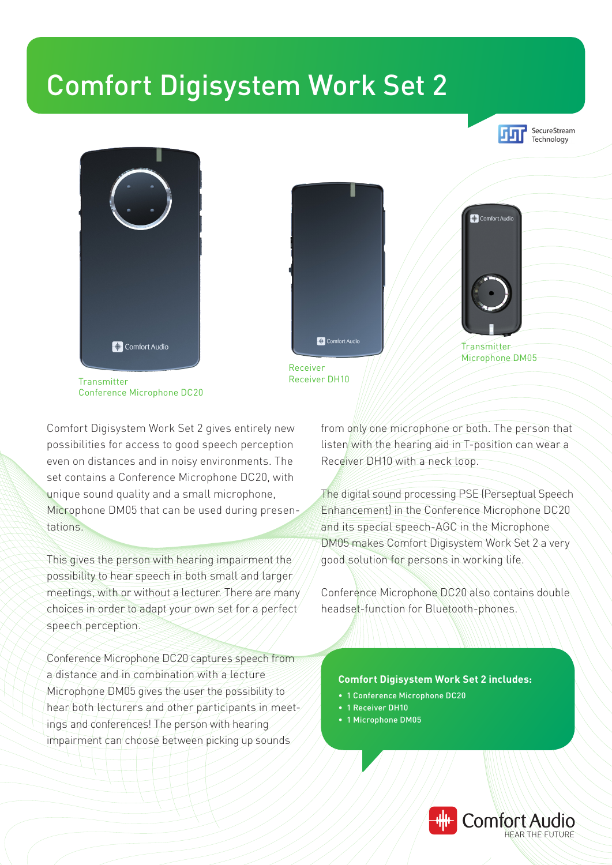## Comfort Digisystem Work Set 2







Comfort Digisystem Work Set 2 gives entirely new possibilities for access to good speech perception even on distances and in noisy environments. The set contains a Conference Microphone DC20, with unique sound quality and a small microphone, Microphone DM05 that can be used during presentations.

This gives the person with hearing impairment the possibility to hear speech in both small and larger meetings, with or without a lecturer. There are many choices in order to adapt your own set for a perfect speech perception.

Conference Microphone DC20 captures speech from a distance and in combination with a lecture Microphone DM05 gives the user the possibility to hear both lecturers and other participants in meetings and conferences! The person with hearing impairment can choose between picking up sounds

from only one microphone or both. The person that listen with the hearing aid in T-position can wear a Receiver DH10 with a neck loop.

Transmitter Microphone DM05

<sup>+</sup> Comfort Audio

The digital sound processing PSE (Perseptual Speech Enhancement) in the Conference Microphone DC20 and its special speech-AGC in the Microphone DM05 makes Comfort Digisystem Work Set 2 a very good solution for persons in working life.

Conference Microphone DC20 also contains double headset-function for Bluetooth-phones.

## **Comfort Digisystem Work Set 2 includes:**

- 1 Conference Microphone DC20
- 1 Receiver DH10
- 1 Microphone DM05